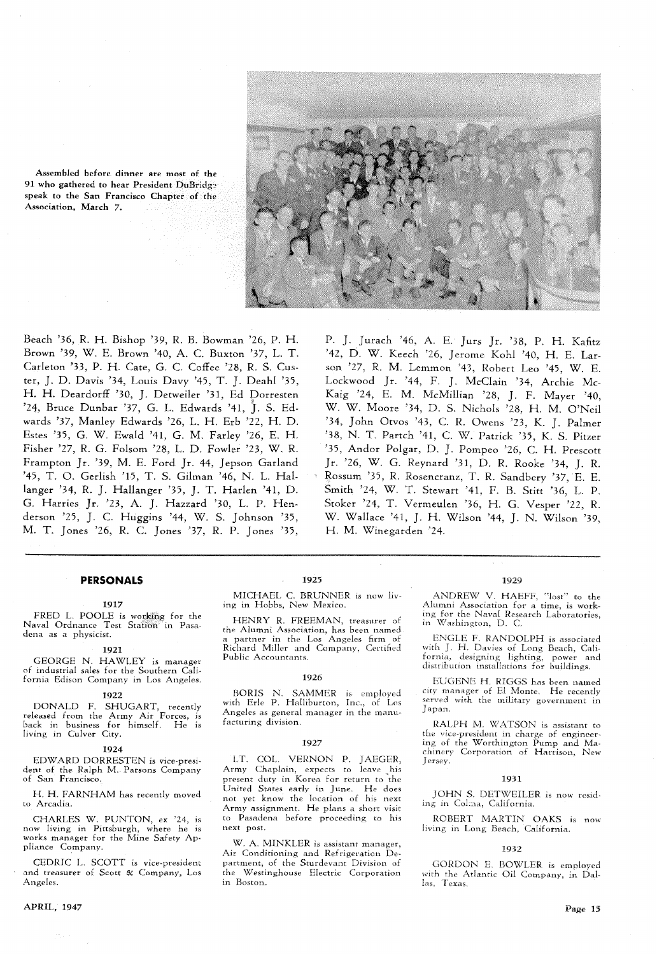

Assembled before dinner 91 who gathered to hear Pres speak to the San Francisco Association, March **7.** 

Beach '36, R. H. Bishop '39, R. B. Bowman '26, P. H. Brown '39, W. E. Brown '40, A. C. Buxton '37, L. T. Carleton '33, P. H. Gate, G. C. Coffee '28, R. *S.* Custer, J. D. Davis '34, Louis Davy '45, T. J. Deahl '35, H. H. Deardorff '30, J. Detweiler '31, Ed Dorresten '24, Bruce Dunbar '37, G. L. Edwards '41, J. S. Edwards '37, Manley Edwards '26, L. H. Erb '22, H. D. Estes '35, G. W. Hwald '41, G. M. Parley '26, E. H. Fisher '27, R. G. Folsom '28, I,. D. Fowler '23, W. R. Frampton Jr. '39, M. E. Ford Jr. 44, Jepson Garland '45, T. 0. Gerlish '15, T. S. Gilman '46, N. L. Hallaager '34, R. J. Hallanger '35, J. T. Harlen '41, D. G. Harries Jr. '23, A. J. Hazzard '30, L. P. Henderson '25, J. C. Huggins '44, W. S. Johnson '35, M. T. Jones '26, R. C. Jones '37, R. P. Jones '35,

P. J. Jurach '46, A. E. Jurs Jr. '38, P. H. Kafitz '42, D. W. Keech '26, Jerome Kohl '40, H. E. Larson '27, R. M. Lemmon '45, Robert Leo '45, W. E. Lockwood Jr. '44, F. J. McClain '34, Archie Mc-Kaig '24, E. M. McMillian '28, J. F. Mayer '40, W. W. Moore '34, D. S. Nichols '28, H. M. O'Neil '34, John Otvos '43, *C.* R. Owens '23, K. J. Palmer '38, N. T. Partch '41, C. W. Patrick **'39,** K. S. Pitzer '35, Andor Polgar, D. J. Pompeo '26, C. H. Prescott Jr. '26, W. G. Reynard '31, D. R. Rooke '34, J. R. Rossum '35, R. Rosencranz, T. R. Sandbery '37, E. E. Smith '24, W. T. Stewart '41, F. B. Stitt '36, L. P. Stoker '24, T. Vermeulen '36, H. G. Vesper '22, R. W. Wallace '41, J. H. Wilson '44, J. N. Wilson '39, H. M. Wmegarden '24.

# **PERSONALS**

## **1917**

FRED L. POOLE is working for the Naval Ordnance Test Station in Pasadena as a physicist.

#### **1921**

GEORGE N. HAWLEY is manager of industrial sales for the Southern California Edison Company in Los Angeles.

#### **1922**

DONALD F. SHUGART, recently released from the Army Air Forces, is back in business for himself. He is living in Culver City.

#### **1924**

EDWARD DORRESTEN is vice-president of the Ralph M. Parsons Company of San Francisco.

H. H. FARNHAM has recently moved to Arcadia.

CHARLES W. PUNTON, ex '24. is now hving in Pittsburgh, where he is works manager for the Mine Safety Appliance Company.

CEDRIC L. SCOTT is vice-president and treasurer of Scott  $\&$  Company, Los Angeles.

# APRIL, **1947**

1925

HENRY R. FREEMAN, treasurer of 110 Washington, D. C. the Alumni Association, has been named<br>a partner in the Los Angeles firm of

## **1926**

BORIS N. SAMMER is employed<br>with Erle P. Halliburton, Inc., of Los Angeles as general manager in the manufacturing division.

#### **1927**

LT. COL. VERNON P. JAEGER, Army Chaplain, expects to leave his present duty in Korea for return to the United States early in June. He does not yet know the location of his next Army assignment. He plans a short visit to Pasadena before proceeding to his next post

W. A. MINKLER is assistant manager, Air Conditioning and Refrigeration De-<br>
partment, of the Sturdevant Division of **1932**<br>
partment, of the Sturdevant Division of **1986** GORDON E. BOW the Westinghouse Electric Corporation<br>in Boston,

## 1029

MICHAEL C. BRUNNER is now liv-<br>ing in Hobbs, New Mexico. Alumni Association for a time, is work-Alumni Association for a time, is work-<br>ing for the Naval Research Laboratories,

a partner in the Los Angeles firm of HENGLE F. RANDOLPH is associated Public Accountants. Fornia, designing lighting, power and distribution installations for buildings.

> EUGENE H. RIGGS has been named city manager of El Monte. He recently served with the military government in Japan.

> RALPH M. WATSON is assistant to the vice-president in charge of engineer-<br>ing of the Worthington Pump and Machinery Corporation of Harrison, New Jersey

## 1931

JOHN S. DETWEILER is now residing in Colma, California.

ROBERT MARTIN OAKS is now living in Long Beach, California.

GORDON E. BOWLER is employed<br>with the Atlantic Oil Company, in Dallas, Texas.